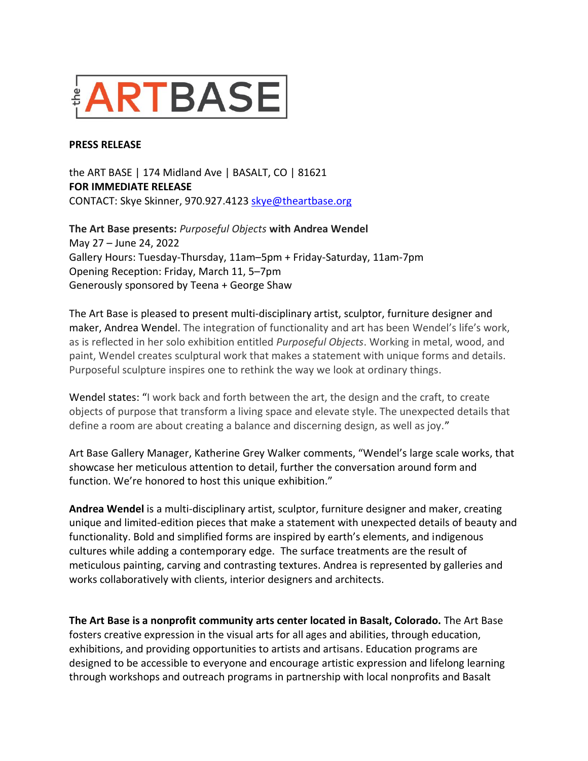

## **PRESS RELEASE**

the ART BASE | 174 Midland Ave | BASALT, CO | 81621 **FOR IMMEDIATE RELEASE** CONTACT: Skye Skinner, 970.927.4123 [skye@theartbase.org](mailto:skye@theartbase.org)

**The Art Base presents:** *Purposeful Objects* **with Andrea Wendel** May 27 – June 24, 2022 Gallery Hours: Tuesday-Thursday, 11am–5pm + Friday-Saturday, 11am-7pm Opening Reception: Friday, March 11, 5–7pm Generously sponsored by Teena + George Shaw

The Art Base is pleased to present multi-disciplinary artist, sculptor, furniture designer and maker, Andrea Wendel. The integration of functionality and art has been Wendel's life's work, as is reflected in her solo exhibition entitled *Purposeful Objects*. Working in metal, wood, and paint, Wendel creates sculptural work that makes a statement with unique forms and details. Purposeful sculpture inspires one to rethink the way we look at ordinary things.

Wendel states: "I work back and forth between the art, the design and the craft, to create objects of purpose that transform a living space and elevate style. The unexpected details that define a room are about creating a balance and discerning design, as well as joy."

Art Base Gallery Manager, Katherine Grey Walker comments, "Wendel's large scale works, that showcase her meticulous attention to detail, further the conversation around form and function. We're honored to host this unique exhibition."

**Andrea Wendel** is a multi-disciplinary artist, sculptor, furniture designer and maker, creating unique and limited-edition pieces that make a statement with unexpected details of beauty and functionality. Bold and simplified forms are inspired by earth's elements, and indigenous cultures while adding a contemporary edge. The surface treatments are the result of meticulous painting, carving and contrasting textures. Andrea is represented by galleries and works collaboratively with clients, interior designers and architects.

**The Art Base is a nonprofit community arts center located in Basalt, Colorado.** The Art Base fosters creative expression in the visual arts for all ages and abilities, through education, exhibitions, and providing opportunities to artists and artisans. Education programs are designed to be accessible to everyone and encourage artistic expression and lifelong learning through workshops and outreach programs in partnership with local nonprofits and Basalt